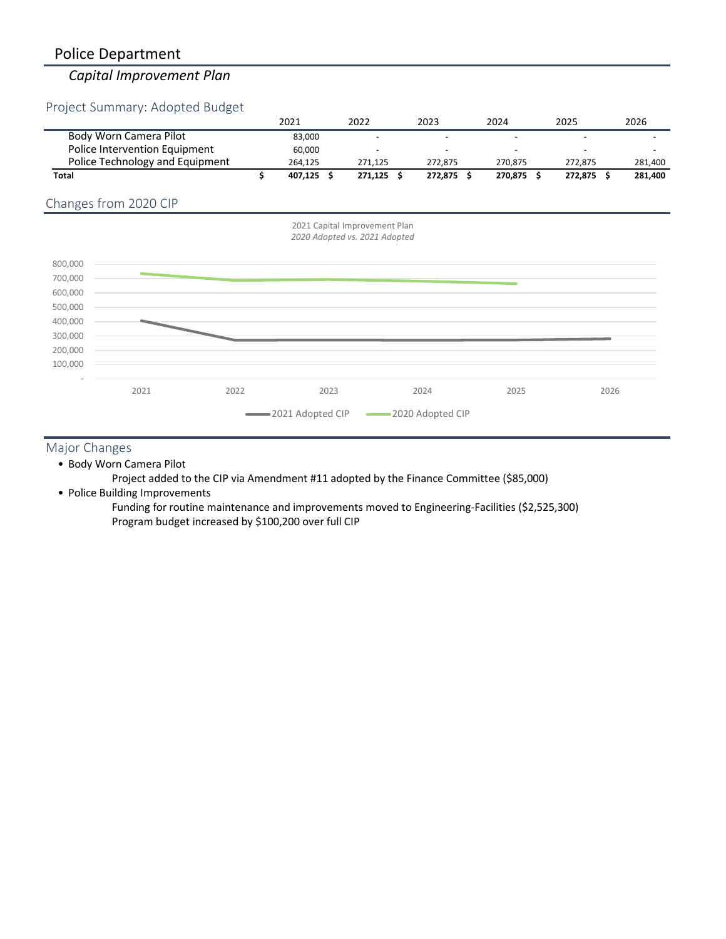# Police Department

# *Capital Improvement Plan*

## Project Summary: Adopted Budget

|                                 | 2021    | 2022                     | 2023    | 2024                     | 2025                     | 2026    |
|---------------------------------|---------|--------------------------|---------|--------------------------|--------------------------|---------|
| Body Worn Camera Pilot          | 83.000  |                          |         | $\overline{\phantom{0}}$ |                          |         |
| Police Intervention Equipment   | 60,000  | $\overline{\phantom{a}}$ | -       | $\overline{\phantom{0}}$ | $\overline{\phantom{a}}$ |         |
| Police Technology and Equipment | 264.125 | 271.125                  | 272.875 | 270.875                  | 272.875                  | 281.400 |
| <b>Total</b>                    | 407.125 | 271.125                  | 272,875 | 270.875                  | 272.875                  | 281.400 |

## Changes from 2020 CIP



### Major Changes

• Body Worn Camera Pilot

Project added to the CIP via Amendment #11 adopted by the Finance Committee (\$85,000)

• Police Building Improvements

Funding for routine maintenance and improvements moved to Engineering-Facilities (\$2,525,300) Program budget increased by \$100,200 over full CIP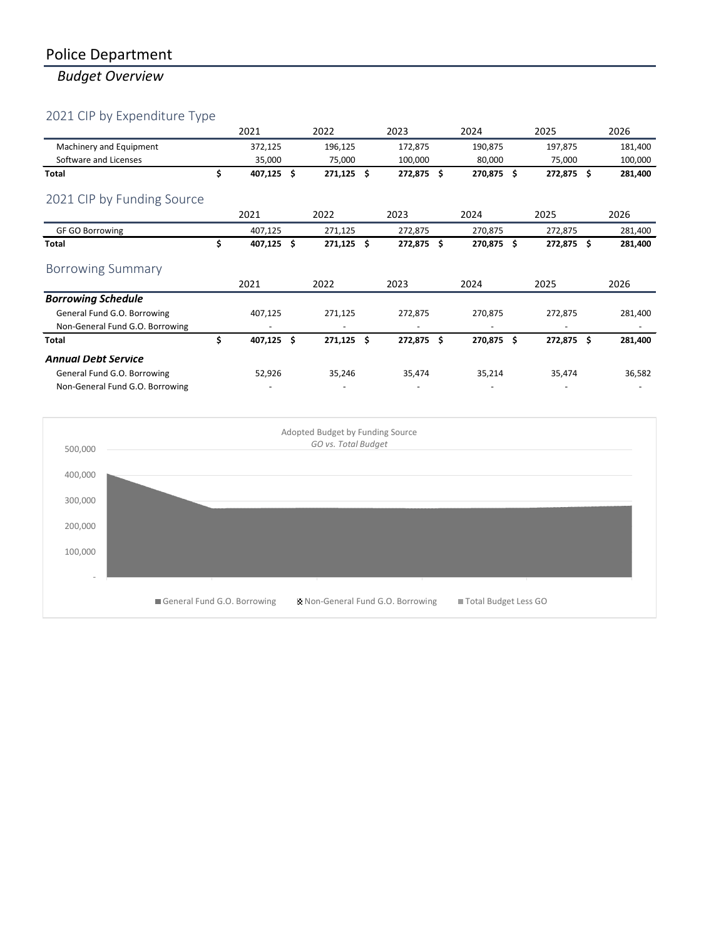# Police Department

# *Budget Overview*

# 2021 CIP by Expenditure Type

|                                 | 2021               |         | 2022    |     | 2023       |     | 2024    | 2025    |            |    | 2026    |
|---------------------------------|--------------------|---------|---------|-----|------------|-----|---------|---------|------------|----|---------|
| Machinery and Equipment         | 372,125            | 196,125 |         |     | 172,875    |     | 190,875 | 197,875 |            |    | 181,400 |
| Software and Licenses           | 35,000             |         | 75,000  |     | 100,000    |     | 80,000  |         | 75,000     |    | 100,000 |
| Total                           | \$<br>407,125 \$   |         | 271,125 | -\$ | 272,875 \$ |     | 270,875 | - Ś     | 272,875 \$ |    | 281,400 |
| 2021 CIP by Funding Source      |                    |         |         |     |            |     |         |         |            |    |         |
|                                 | 2021               |         | 2022    |     | 2023       |     | 2024    |         | 2025       |    | 2026    |
| <b>GF GO Borrowing</b>          | 407,125            |         | 271,125 |     | 272,875    |     | 270,875 |         | 272,875    |    | 281,400 |
| Total                           | \$<br>$407,125$ \$ |         | 271,125 | Ŝ.  | 272,875 \$ |     | 270,875 | -\$     | 272,875 \$ |    | 281,400 |
| <b>Borrowing Summary</b>        |                    |         |         |     |            |     |         |         |            |    |         |
|                                 | 2021               |         | 2022    |     | 2023       |     | 2024    |         | 2025       |    | 2026    |
| <b>Borrowing Schedule</b>       |                    |         |         |     |            |     |         |         |            |    |         |
| General Fund G.O. Borrowing     | 407,125            |         | 271,125 |     | 272,875    |     | 270,875 |         | 272,875    |    | 281,400 |
| Non-General Fund G.O. Borrowing |                    |         |         |     |            |     |         |         |            |    |         |
| Total                           | \$<br>407,125      | \$.     | 271,125 | Ŝ.  | 272,875    | \$. | 270,875 | \$.     | 272,875    | Ŝ. | 281,400 |
| <b>Annual Debt Service</b>      |                    |         |         |     |            |     |         |         |            |    |         |
| General Fund G.O. Borrowing     | 52,926             |         | 35,246  |     | 35,474     |     | 35,214  |         | 35,474     |    | 36,582  |
| Non-General Fund G.O. Borrowing |                    |         |         |     |            |     |         |         |            |    |         |

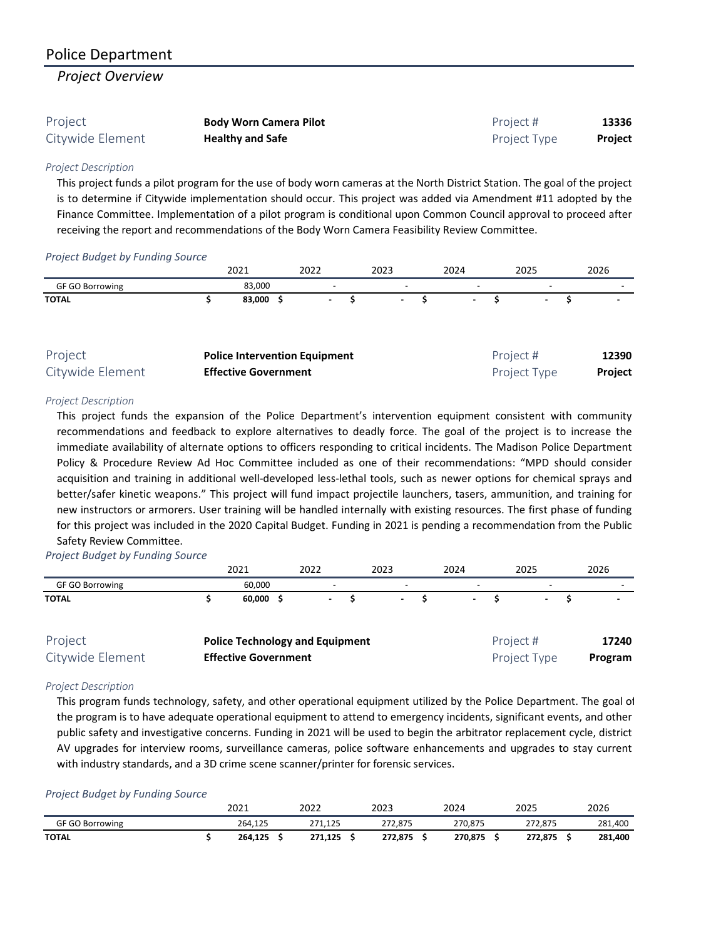### *Project Overview*

| Project          | <b>Body Worn Camera Pilot</b> | Project #           | 13336          |
|------------------|-------------------------------|---------------------|----------------|
| Citywide Element | <b>Healthy and Safe</b>       | <b>Project Type</b> | <b>Project</b> |

#### *Project Description*

This project funds a pilot program for the use of body worn cameras at the North District Station. The goal of the project is to determine if Citywide implementation should occur. This project was added via Amendment #11 adopted by the Finance Committee. Implementation of a pilot program is conditional upon Common Council approval to proceed after receiving the report and recommendations of the Body Worn Camera Feasibility Review Committee.

### *Project Budget by Funding Source*

|                             | 2021                                                                | 2022 |                          | 2023           |  | 2024                     |           | 2025                     | 2026             |
|-----------------------------|---------------------------------------------------------------------|------|--------------------------|----------------|--|--------------------------|-----------|--------------------------|------------------|
| <b>GF GO Borrowing</b>      | 83,000                                                              |      | $\overline{\phantom{a}}$ |                |  | $\overline{\phantom{a}}$ |           | $\overline{\phantom{a}}$ |                  |
| <b>TOTAL</b>                | $83,000$ \$                                                         |      | $\sim$                   | $\blacksquare$ |  | $\sim 100$               |           | $\sim$                   |                  |
| Project<br>Citywide Element | <b>Police Intervention Equipment</b><br><b>Effective Government</b> |      |                          |                |  |                          | Project # | Project Type             | 12390<br>Project |

### *Project Description*

This project funds the expansion of the Police Department's intervention equipment consistent with community recommendations and feedback to explore alternatives to deadly force. The goal of the project is to increase the immediate availability of alternate options to officers responding to critical incidents. The Madison Police Department Policy & Procedure Review Ad Hoc Committee included as one of their recommendations: "MPD should consider acquisition and training in additional well-developed less-lethal tools, such as newer options for chemical sprays and better/safer kinetic weapons." This project will fund impact projectile launchers, tasers, ammunition, and training for new instructors or armorers. User training will be handled internally with existing resources. The first phase of funding for this project was included in the 2020 Capital Budget. Funding in 2021 is pending a recommendation from the Public Safety Review Committee.

*Project Budget by Funding Source*

|                        | 2021                                   | 2022   | 2023 |   | 2024 |                  | 2025         |        | 2026    |
|------------------------|----------------------------------------|--------|------|---|------|------------------|--------------|--------|---------|
| <b>GF GO Borrowing</b> | 60,000                                 |        |      |   |      |                  |              |        |         |
| <b>TOTAL</b>           | 60,000                                 | $\sim$ |      | ٠ |      | $\sim$ 100 $\mu$ |              | $\sim$ |         |
| Project                | <b>Police Technology and Equipment</b> |        |      |   |      |                  | Project #    |        | 17240   |
| Citywide Element       | <b>Effective Government</b>            |        |      |   |      |                  | Project Type |        | Program |

### *Project Description*

This program funds technology, safety, and other operational equipment utilized by the Police Department. The goal of the program is to have adequate operational equipment to attend to emergency incidents, significant events, and other public safety and investigative concerns. Funding in 2021 will be used to begin the arbitrator replacement cycle, district AV upgrades for interview rooms, surveillance cameras, police software enhancements and upgrades to stay current with industry standards, and a 3D crime scene scanner/printer for forensic services.

### *Project Budget by Funding Source*

| __                     | 2021    | 2022           | 2023    | 2024    | 2025    | 2026    |  |  |
|------------------------|---------|----------------|---------|---------|---------|---------|--|--|
| <b>GF GO Borrowing</b> | 264,125 | 271<br>271.125 | 272.875 | 270.875 | 272.875 | 281,400 |  |  |
| <b>TOTAL</b>           | 264.125 | 271.125        | 272.875 | 270,875 | 272.875 | 281,400 |  |  |